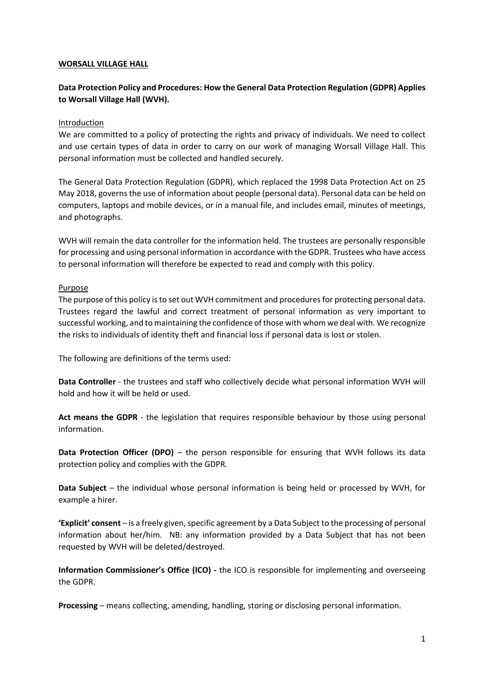#### **WORSALL VILLAGE HALL**

# **Data Protection Policy and Procedures: How the General Data Protection Regulation (GDPR) Applies to Worsall Village Hall (WVH).**

### Introduction

We are committed to a policy of protecting the rights and privacy of individuals. We need to collect and use certain types of data in order to carry on our work of managing Worsall Village Hall. This personal information must be collected and handled securely.

The General Data Protection Regulation (GDPR), which replaced the 1998 Data Protection Act on 25 May 2018, governs the use of information about people (personal data). Personal data can be held on computers, laptops and mobile devices, or in a manual file, and includes email, minutes of meetings, and photographs.

WVH will remain the data controller for the information held. The trustees are personally responsible for processing and using personal information in accordance with the GDPR. Trustees who have access to personal information will therefore be expected to read and comply with this policy.

### Purpose

The purpose of this policy is to set out WVH commitment and procedures for protecting personal data. Trustees regard the lawful and correct treatment of personal information as very important to successful working, and to maintaining the confidence of those with whom we deal with. We recognize the risks to individuals of identity theft and financial loss if personal data is lost or stolen.

The following are definitions of the terms used:

**Data Controller** - the trustees and staff who collectively decide what personal information WVH will hold and how it will be held or used.

Act means the GDPR - the legislation that requires responsible behaviour by those using personal information.

**Data Protection Officer (DPO)** – the person responsible for ensuring that WVH follows its data protection policy and complies with the GDPR.

**Data Subject** – the individual whose personal information is being held or processed by WVH, for example a hirer.

**'Explicit' consent** – is a freely given, specific agreement by a Data Subject to the processing of personal information about her/him. NB: any information provided by a Data Subject that has not been requested by WVH will be deleted/destroyed.

**Information Commissioner's Office (ICO)** - the ICO is responsible for implementing and overseeing the GDPR.

**Processing** – means collecting, amending, handling, storing or disclosing personal information.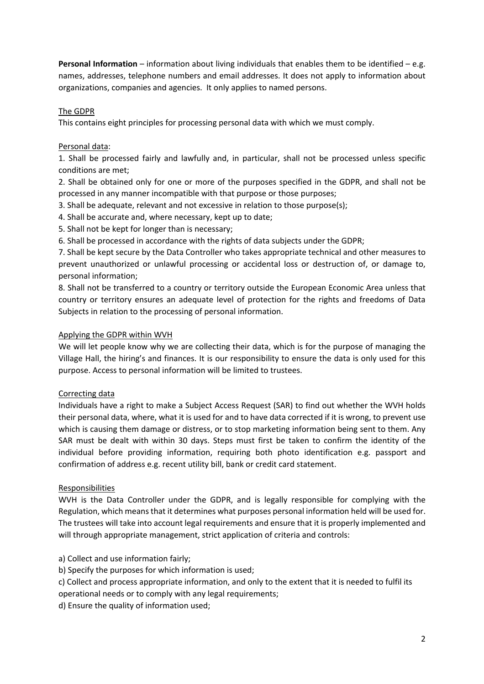**Personal Information** – information about living individuals that enables them to be identified – e.g. names, addresses, telephone numbers and email addresses. It does not apply to information about organizations, companies and agencies. It only applies to named persons.

## The GDPR

This contains eight principles for processing personal data with which we must comply.

### Personal data:

1. Shall be processed fairly and lawfully and, in particular, shall not be processed unless specific conditions are met;

2. Shall be obtained only for one or more of the purposes specified in the GDPR, and shall not be processed in any manner incompatible with that purpose or those purposes;

- 3. Shall be adequate, relevant and not excessive in relation to those purpose(s);
- 4. Shall be accurate and, where necessary, kept up to date;
- 5. Shall not be kept for longer than is necessary;
- 6. Shall be processed in accordance with the rights of data subjects under the GDPR;

7. Shall be kept secure by the Data Controller who takes appropriate technical and other measures to prevent unauthorized or unlawful processing or accidental loss or destruction of, or damage to, personal information;

8. Shall not be transferred to a country or territory outside the European Economic Area unless that country or territory ensures an adequate level of protection for the rights and freedoms of Data Subjects in relation to the processing of personal information.

### Applying the GDPR within WVH

We will let people know why we are collecting their data, which is for the purpose of managing the Village Hall, the hiring's and finances. It is our responsibility to ensure the data is only used for this purpose. Access to personal information will be limited to trustees.

# Correcting data

Individuals have a right to make a Subject Access Request (SAR) to find out whether the WVH holds their personal data, where, what it is used for and to have data corrected if it is wrong, to prevent use which is causing them damage or distress, or to stop marketing information being sent to them. Any SAR must be dealt with within 30 days. Steps must first be taken to confirm the identity of the individual before providing information, requiring both photo identification e.g. passport and confirmation of address e.g. recent utility bill, bank or credit card statement.

### Responsibilities

WVH is the Data Controller under the GDPR, and is legally responsible for complying with the Regulation, which means that it determines what purposes personal information held will be used for. The trustees will take into account legal requirements and ensure that it is properly implemented and will through appropriate management, strict application of criteria and controls:

# a) Collect and use information fairly;

- b) Specify the purposes for which information is used;
- c) Collect and process appropriate information, and only to the extent that it is needed to fulfil its operational needs or to comply with any legal requirements;
- d) Ensure the quality of information used;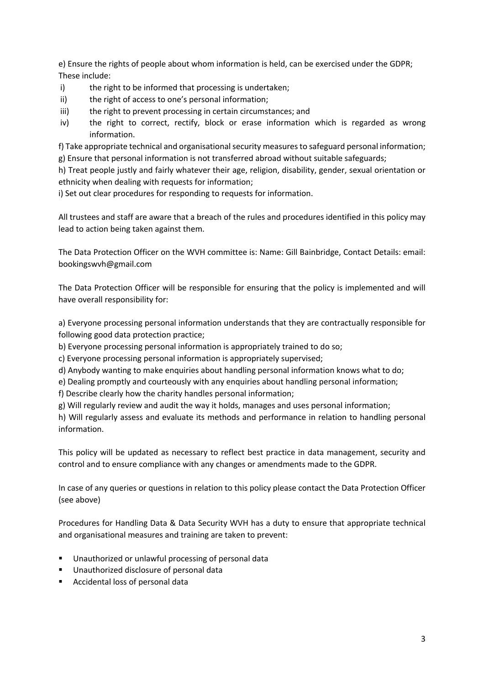e) Ensure the rights of people about whom information is held, can be exercised under the GDPR; These include:

- i) the right to be informed that processing is undertaken;
- ii) the right of access to one's personal information;
- iii) the right to prevent processing in certain circumstances; and
- iv) the right to correct, rectify, block or erase information which is regarded as wrong information.

f) Take appropriate technical and organisational security measures to safeguard personal information; g) Ensure that personal information is not transferred abroad without suitable safeguards;

h) Treat people justly and fairly whatever their age, religion, disability, gender, sexual orientation or ethnicity when dealing with requests for information;

i) Set out clear procedures for responding to requests for information.

All trustees and staff are aware that a breach of the rules and procedures identified in this policy may lead to action being taken against them.

The Data Protection Officer on the WVH committee is: Name: Gill Bainbridge, Contact Details: email: bookingswvh@gmail.com

The Data Protection Officer will be responsible for ensuring that the policy is implemented and will have overall responsibility for:

a) Everyone processing personal information understands that they are contractually responsible for following good data protection practice;

b) Everyone processing personal information is appropriately trained to do so;

c) Everyone processing personal information is appropriately supervised;

d) Anybody wanting to make enquiries about handling personal information knows what to do;

e) Dealing promptly and courteously with any enquiries about handling personal information;

f) Describe clearly how the charity handles personal information;

g) Will regularly review and audit the way it holds, manages and uses personal information;

h) Will regularly assess and evaluate its methods and performance in relation to handling personal information.

This policy will be updated as necessary to reflect best practice in data management, security and control and to ensure compliance with any changes or amendments made to the GDPR.

In case of any queries or questions in relation to this policy please contact the Data Protection Officer (see above)

Procedures for Handling Data & Data Security WVH has a duty to ensure that appropriate technical and organisational measures and training are taken to prevent:

- Unauthorized or unlawful processing of personal data
- Unauthorized disclosure of personal data
- Accidental loss of personal data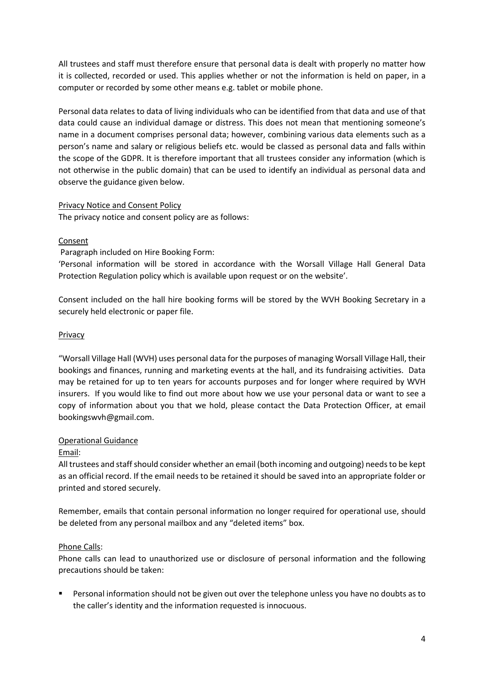All trustees and staff must therefore ensure that personal data is dealt with properly no matter how it is collected, recorded or used. This applies whether or not the information is held on paper, in a computer or recorded by some other means e.g. tablet or mobile phone.

Personal data relates to data of living individuals who can be identified from that data and use of that data could cause an individual damage or distress. This does not mean that mentioning someone's name in a document comprises personal data; however, combining various data elements such as a person's name and salary or religious beliefs etc. would be classed as personal data and falls within the scope of the GDPR. It is therefore important that all trustees consider any information (which is not otherwise in the public domain) that can be used to identify an individual as personal data and observe the guidance given below.

### Privacy Notice and Consent Policy

The privacy notice and consent policy are as follows:

# Consent

Paragraph included on Hire Booking Form:

'Personal information will be stored in accordance with the Worsall Village Hall General Data Protection Regulation policy which is available upon request or on the website'.

Consent included on the hall hire booking forms will be stored by the WVH Booking Secretary in a securely held electronic or paper file.

### Privacy

"Worsall Village Hall (WVH) uses personal data for the purposes of managing Worsall Village Hall, their bookings and finances, running and marketing events at the hall, and its fundraising activities. Data may be retained for up to ten years for accounts purposes and for longer where required by WVH insurers. If you would like to find out more about how we use your personal data or want to see a copy of information about you that we hold, please contact the Data Protection Officer, at email bookingswvh@gmail.com.

# Operational Guidance

### Email:

All trustees and staff should consider whether an email (both incoming and outgoing) needs to be kept as an official record. If the email needs to be retained it should be saved into an appropriate folder or printed and stored securely.

Remember, emails that contain personal information no longer required for operational use, should be deleted from any personal mailbox and any "deleted items" box.

### Phone Calls:

Phone calls can lead to unauthorized use or disclosure of personal information and the following precautions should be taken:

Personal information should not be given out over the telephone unless you have no doubts as to the caller's identity and the information requested is innocuous.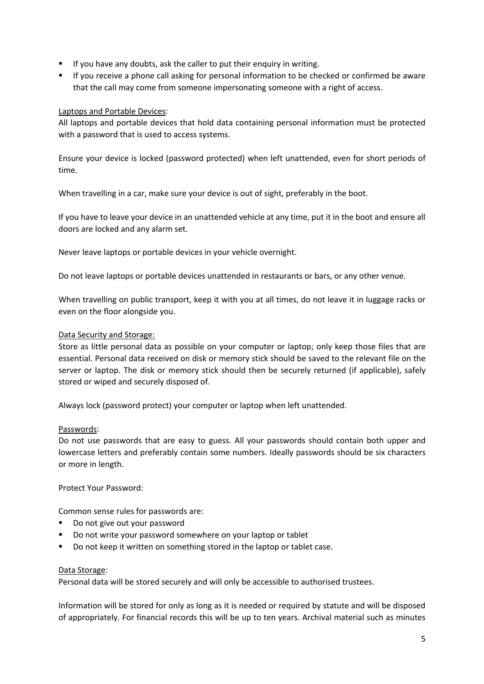- If you have any doubts, ask the caller to put their enquiry in writing.
- If you receive a phone call asking for personal information to be checked or confirmed be aware that the call may come from someone impersonating someone with a right of access.

# Laptops and Portable Devices:

All laptops and portable devices that hold data containing personal information must be protected with a password that is used to access systems.

Ensure your device is locked (password protected) when left unattended, even for short periods of time.

When travelling in a car, make sure your device is out of sight, preferably in the boot.

If you have to leave your device in an unattended vehicle at any time, put it in the boot and ensure all doors are locked and any alarm set.

Never leave laptops or portable devices in your vehicle overnight.

Do not leave laptops or portable devices unattended in restaurants or bars, or any other venue.

When travelling on public transport, keep it with you at all times, do not leave it in luggage racks or even on the floor alongside you.

### Data Security and Storage:

Store as little personal data as possible on your computer or laptop; only keep those files that are essential. Personal data received on disk or memory stick should be saved to the relevant file on the server or laptop. The disk or memory stick should then be securely returned (if applicable), safely stored or wiped and securely disposed of.

Always lock (password protect) your computer or laptop when left unattended.

# Passwords:

Do not use passwords that are easy to guess. All your passwords should contain both upper and lowercase letters and preferably contain some numbers. Ideally passwords should be six characters or more in length.

Protect Your Password:

Common sense rules for passwords are:

- § Do not give out your password
- Do not write your password somewhere on your laptop or tablet
- Do not keep it written on something stored in the laptop or tablet case.

### Data Storage:

Personal data will be stored securely and will only be accessible to authorised trustees.

Information will be stored for only as long as it is needed or required by statute and will be disposed of appropriately. For financial records this will be up to ten years. Archival material such as minutes